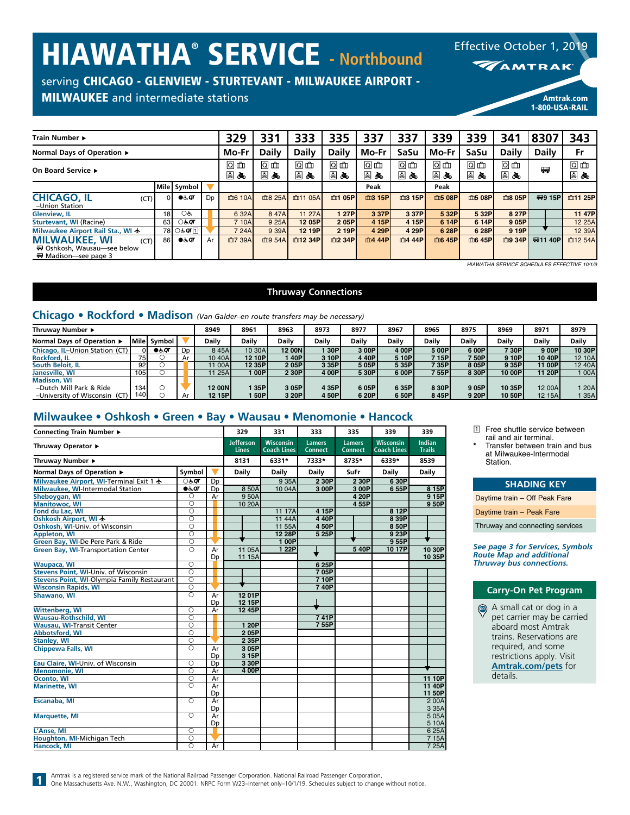# HIAWATHA® SERVICE **- Northbound**

Effective October 1, 2019

**MAMTRAK** 

1-800-USA-RAIL

# serving CHICAGO - GLENVIEW - STURTEVANT - MILWAUKEE AIRPORT -

## MILWAUKEE and intermediate stations and the community of the community of the community of the community of the community of the community of the community of the community of the community of the community of the communit

| Train Number ►                                                                      |                 |                       |    | 329      | 331      | 333          | 335      | 337      | 337      | 339      | 339      | 341          | 8307         | 343      |
|-------------------------------------------------------------------------------------|-----------------|-----------------------|----|----------|----------|--------------|----------|----------|----------|----------|----------|--------------|--------------|----------|
| Normal Days of Operation ▶                                                          |                 |                       |    |          |          | <b>Daily</b> | Daily    | Mo-Fr    | SaSu     | Mo-Fr    | SaSu     | <b>Daily</b> | <b>Daily</b> | Fr       |
| On Board Service ►                                                                  |                 |                       |    | 问血<br>国品 | 问血<br>国品 | 问血<br>5 &    | 问血<br>国品 | 回血<br>国品 | 问血<br>国品 | 回血<br>国品 | 回面<br>国品 | ◙ ₾<br>国元    | 四            | 回血<br>国元 |
|                                                                                     |                 | Mile Symbol           |    |          |          |              |          | Peak     |          | Peak     |          |              |              |          |
| <b>CHICAGO, IL</b><br>(CT)<br>-Union Station                                        | $\Omega$        | ●ఉ⊘ा                  | Dp | 血6 10A   | 血8 25A   | 血11 05A      | 血1 05P   | 血3 15P   | 血3 15P   | 血5 08P   | 血5 08P   | 血8 05Pl      | (四9 15P)     | 血11 25Pl |
| <b>Glenview, IL</b>                                                                 | 18 <sup>1</sup> | OĠ                    |    | 6 32A    | 8 47A    | 11 27A       | 1 27P    | 3 37P    | 3 37P    | 5 32P    | 5 32P    | 8 27P        |              | 11 47P   |
| <b>Sturtevant, WI (Racine)</b>                                                      | 63              | ेल $\sigma$           |    | 7 10A    | 9 25A    | 12 05P       | 205P     | 4 15P    | 4 15P    | 6 14P    | 6 14P    | 9 05PI       |              | 12 25A   |
| Milwaukee Airport Rail Sta., WI ★                                                   |                 | 78 Oৈ সে⊡             |    | 7 24A    | 9 39A    | 12 19P       | 2 19P    | 4 29P    | 4 29P    | 6 28P    | 6 28P    | 9 19P        |              | 12 39A   |
| <b>MILWAUKEE, WI</b><br>(CT)<br>₩ Oshkosh. Wausau-see below<br>₩ Madison-see page 3 | 86 I            | $\bullet$ க் $\sigma$ | Ar | 血7 39A   | 血9 54A   | 血12 34P      | 血2 34P   | 血4 44P   | 血4 44P   | 血6 45P   | 血6 45P   | 血9 34P       | (要11 40P)    | 血12 54A  |

**Thruway Connections**

# **Chicago • Rockford • Madison** *(Van Galder–en route transfers may be necessary)*

| Thruwav Number ▶               |          |        |    | 8949         | 8961        | 8963          | 8973  | 8977  | 8967         | 8965   | 8975   | 8969   | 8971   | 8979         |
|--------------------------------|----------|--------|----|--------------|-------------|---------------|-------|-------|--------------|--------|--------|--------|--------|--------------|
| Normal Davs of Operation ▶     | l Mile l | Symbol |    | <b>Daily</b> | Dailv       | <b>Daily</b>  | Daily | Daily | <b>Daily</b> | Daily  | Daily  | Daily  | Daily  | <b>Daily</b> |
| Chicago, IL-Union Station (CT) | DІ       | ●க்⊄   | Dp | 845A         | 10 30A      | <b>12 00N</b> | 30P   | 3 00P | 4 00P        | 5 00P  | 6 00P  | 7 30P  | 900P   | 10 30P       |
| <b>Rockford, IL</b>            | 75 I     |        | Ar | 10 40A       | 12 10P      | 140P          | 3 10P | 440P  | 5 10P        | 715P   | 7 50Pl | 9 10P  | 10 40P | 12 10A       |
| South Beloit, IL               | 92       |        |    | 11 00A       | 12 35P      | 205P          | 3 35P | 505P  | 5 35P        | 7 35Pl | 805PI  | 9 35P  | 11 00P | 12 40A       |
| Janesville, WI                 | 105      |        |    | 11 25A       | l OOPI      | 2 30P         | 4 00P | 5 30P | 6 00P        | 7 55P  | 8 30P  | 10 00P | 11 20P | 00A          |
| <b>Madison, WI</b>             |          |        |    |              |             |               |       |       |              |        |        |        |        |              |
| -Dutch Mill Park & Ride        | 134      |        |    | 12 00N       | 35PI        | 3 05P         | 4 35P | 605P  | 6 35P        | 8 30P  | 905P   | 10 35P | 12 00A | 20A          |
| -University of Wisconsin (CT)  | 140 I    |        | Ar | 12 15P       | <b>50PI</b> | 3 20P         | 4 50P | 6 20P | 6 50P        | 845P   | 9 20P  | 10 50P | 12 15A | 35A          |

## **Milwaukee • Oshkosh • Green • Bay • Wausau • Menomonie • Hancock**

| Connecting Train Number ▶                   |                     |                | 329                              | 331                                    | 333                             | 335                             | 339                                    | 339                            |
|---------------------------------------------|---------------------|----------------|----------------------------------|----------------------------------------|---------------------------------|---------------------------------|----------------------------------------|--------------------------------|
| Thruway Operator ▶                          |                     |                | <b>Jefferson</b><br><b>Lines</b> | <b>Wisconsin</b><br><b>Coach Lines</b> | <b>Lamers</b><br><b>Connect</b> | <b>Lamers</b><br><b>Connect</b> | <b>Wisconsin</b><br><b>Coach Lines</b> | <b>Indian</b><br><b>Trails</b> |
| Thruway Number ▶                            |                     |                | 8131                             | 6331*                                  | 7333*                           | 8735*                           | 6339*                                  | 8539                           |
| Normal Days of Operation ▶                  | Symbol              |                | <b>Daily</b>                     | <b>Daily</b>                           | Daily                           | SuFr                            | <b>Daily</b>                           | <b>Daily</b>                   |
| Milwaukee Airport, WI-Terminal Exit 1 ★     | <b>○</b> रूक        | D <sub>p</sub> |                                  | 9 3 5 A                                | 2 30P                           | 2 30P                           | 6 30P                                  |                                |
| <b>Milwaukee, WI-Intermodal Station</b>     | $Q \in Q$           | D <sub>D</sub> | 8 50A                            | 10 04A                                 | 3 00P                           | 3 00P                           | 655P                                   | 8 15P                          |
| Sheboygan, WI                               | $\circ$             | Ar             | 950A                             |                                        |                                 | 4 20P                           |                                        | 9 15P                          |
| <b>Manitowoc, WI</b>                        | $\overline{O}$      |                | 10 20A                           |                                        |                                 | 4 55P                           |                                        | 9 50P                          |
| Fond du Lac. WI                             | $\overline{\circ}$  |                |                                  | 11 17A                                 | 4 15P                           |                                 | 8 12P                                  |                                |
| Oshkosh Airport, WI +                       | $\overline{\circ}$  |                |                                  | 11 44A                                 | 4 40P                           |                                 | 8 39P                                  |                                |
| Oshkosh, WI-Univ. of Wisconsin              | $\overline{O}$      |                |                                  | 11 55A                                 | 4 50P                           |                                 | 8 50P                                  |                                |
| <b>Appleton, WI</b>                         | $\overline{\circ}$  |                |                                  | 12 28P                                 | 5 25P                           |                                 | 9 23P                                  |                                |
| Green Bay, WI-De Pere Park & Ride           | $\overline{\circ}$  |                |                                  | 100P                                   |                                 |                                 | 955P                                   |                                |
| Green Bay, WI-Transportation Center         | $\overline{\Omega}$ | Ar             | 11 05A                           | 1 22P                                  |                                 | 540P                            | 1017P                                  | 10 30P                         |
|                                             |                     | D <sub>D</sub> | 11 15A                           |                                        |                                 |                                 |                                        | 10 35P                         |
| <b>Waupaca, WI</b>                          | $\circ$             |                |                                  |                                        | 6 25P                           |                                 |                                        |                                |
| Stevens Point, WI-Univ. of Wisconsin        | $\overline{O}$      |                |                                  |                                        | 705P                            |                                 |                                        |                                |
| Stevens Point, WI-Olympia Family Restaurant | ਨ                   |                |                                  |                                        | 710P                            |                                 |                                        |                                |
| <b>Wisconsin Rapids, WI</b>                 | $\overline{\circ}$  |                |                                  |                                        | 740P                            |                                 |                                        |                                |
| Shawano, WI                                 | $\bigcirc$          | Ar             | 1201P                            |                                        |                                 |                                 |                                        |                                |
|                                             |                     | Dp             | 12 15P                           |                                        |                                 |                                 |                                        |                                |
| Wittenberg, WI                              | $\overline{\circ}$  | Ar             | 12 45P                           |                                        |                                 |                                 |                                        |                                |
| <b>Wausau-Rothschild, WI</b>                | $\overline{\circ}$  |                |                                  |                                        | 741P                            |                                 |                                        |                                |
| <b>Wausau, WI-Transit Center</b>            | $\overline{\circ}$  |                | 1 20P                            |                                        | 755P                            |                                 |                                        |                                |
| <b>Abbotsford, WI</b>                       | $\overline{O}$      |                | 205P                             |                                        |                                 |                                 |                                        |                                |
| <b>Stanley, WI</b>                          | $\circ$             |                | 2 35P                            |                                        |                                 |                                 |                                        |                                |
| <b>Chippewa Falls, WI</b>                   | $\overline{\circ}$  | Ar             | 305P                             |                                        |                                 |                                 |                                        |                                |
|                                             |                     | Dp             | 3 15P                            |                                        |                                 |                                 |                                        |                                |
| Eau Claire, WI-Univ. of Wisconsin           | $\overline{\circ}$  | Dp             | 3 30P                            |                                        |                                 |                                 |                                        |                                |
| <b>Menomonie, WI</b>                        | $\circ$             | Ar             | 4 00P                            |                                        |                                 |                                 |                                        |                                |
| Oconto, WI                                  | $\overline{\circ}$  | Ar             |                                  |                                        |                                 |                                 |                                        | 11 10P                         |
| Marinette, WI                               | $\Omega$            | Ar             |                                  |                                        |                                 |                                 |                                        | 11 40P                         |
|                                             |                     | Dp             |                                  |                                        |                                 |                                 |                                        | 11 50P                         |
| Escanaba, MI                                | $\circ$             | Ar             |                                  |                                        |                                 |                                 |                                        | 200A                           |
|                                             |                     | Dp             |                                  |                                        |                                 |                                 |                                        | 3 3 5 A                        |
| <b>Marquette, MI</b>                        | $\overline{\circ}$  | Ar             |                                  |                                        |                                 |                                 |                                        | 505A                           |
|                                             |                     | Dp             |                                  |                                        |                                 |                                 |                                        | 5 10A                          |
| L'Anse, MI                                  | $\overline{O}$      |                |                                  |                                        |                                 |                                 |                                        | 625A                           |
| Houghton, MI-Michigan Tech                  | $\circ$             |                |                                  |                                        |                                 |                                 |                                        | 7 15A                          |
| Hancock, MI                                 | ਨ                   | Ar             |                                  |                                        |                                 |                                 |                                        | 7 25A                          |

- 1 Free shuttle service between rail and air terminal.
- **\*** Transfer between train and bus at Milwaukee-Intermodal Station.

#### **SHADING KEY**

Daytime train – Off Peak Fare

Daytime train – Peak Fare

Thruway and connecting services

*See page 3 for Services, Symbols Route Map and additional Thruway bus connections.*

#### **Carry-On Pet Program**

A small cat or dog in a GO pet carrier may be carried aboard most Amtrak trains. Reservations are required, and some restrictions apply. Visit **[Amtrak.com/pets](https://www.amtrak.com/pets)** for details.

Amtrak is a registered service mark of the National Railroad Passenger Corporation. National Railroad Passenger Corporation,

**1**

One Massachusetts Ave. N.W., Washington, DC 20001. NRPC Form W23–Internet only–10/1/19. Schedules subject to change without notice.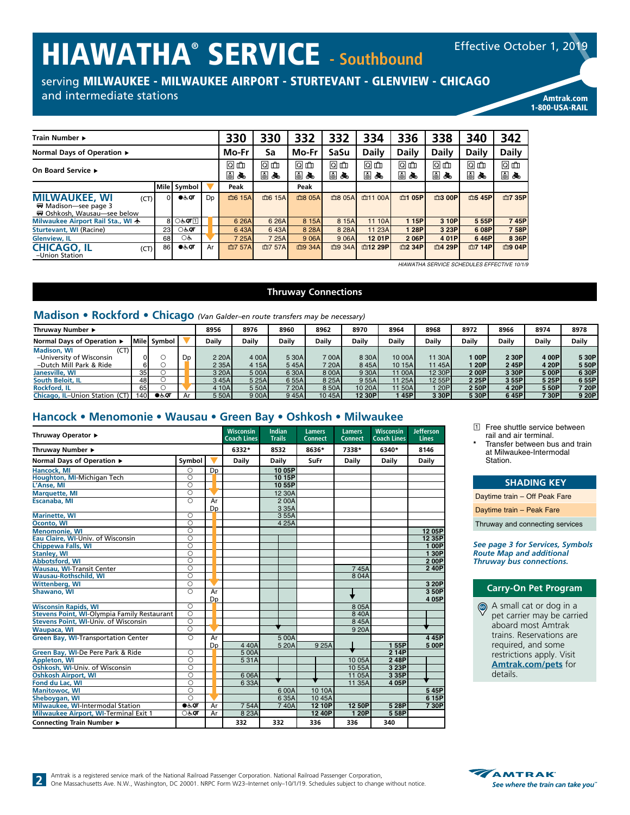# HIAWATHA® SERVICE **- Southbound**

serving MILWAUKEE - MILWAUKEE AIRPORT - STURTEVANT - GLENVIEW - CHICAGO

## and intermediate stations and the stations and the stational stations are considered and the stations of the stations of the stations of the stations of the stations of the stations of the stations of the stations of the s

| Train Number ►                                                                      |               |                |                | 330      | 330          | 332          | 332          | 334          | 336          | 338          | 340    | 342    |
|-------------------------------------------------------------------------------------|---------------|----------------|----------------|----------|--------------|--------------|--------------|--------------|--------------|--------------|--------|--------|
| Normal Days of Operation ►                                                          |               | Mo-Fr          | Sa             | Mo-Fr    | SaSu         | <b>Daily</b> | Daily        | <b>Daily</b> | <b>Daily</b> | <b>Daily</b> |        |        |
| On Board Service ►                                                                  | 问血<br>圓<br>கூ | 问血<br>日亮       | 问血<br>国品       | 问血<br>国品 | 回血<br>⋓<br>≛ | 问血<br>国品     | 问血<br>⋓<br>க | 回血<br>国品     | 回血<br>国品     |              |        |        |
|                                                                                     |               | Mile Symbol    |                | Peak     |              | Peak         |              |              |              |              |        |        |
| <b>MILWAUKEE, WI</b><br>(CT)<br>₩ Madison-see page 3<br>₩ Oshkosh, Wausau—see below | ΩI            | $\bullet$ க்ரா | D <sub>D</sub> | 血6 15A   | 血6 15A       | 血8 05A       | 血8 05A       | 面11 00A      | 血1 05P       | 血3 00P       | 血5 45P | 血7 35P |
| Milwaukee Airport Rail Sta., WI ★                                                   |               | 8 O&QT ⊡       |                | 6 26A    | 6 26A        | 8 15A        | 8 15A        | 11 10A       | 1 15P        | 3 10P        | 5 55P  | 745P   |
| Sturtevant, WI (Racine)                                                             | 23            | <b>ं</b> दग    |                | 643A     | 643A         | 8 28 A       | 8 28A        | 11 23A       | 128P         | 3 23P        | 6 08P  | 758P   |
| <b>Glenview, IL</b>                                                                 | 68            | OĠ             |                | 7 25A    | 7 25A        | 9 06A        | 9 06A        | 12 01P       | 206P         | 4 01P        | 646P   | 8 36P  |
| <b>CHICAGO, IL</b><br>(CT)<br>-Union Station                                        | 86            | $\bullet$ க்ர  | Ar             | 血7 57A   | 血7 57A       | 血9 34A       | 血9 34A       | 血12 29P      | m2 34P       | 血4 29P       | 血7 14P | 血9 04P |

*HIAWATHA SERVICE SCHEDULES EFFECTIVE 10/1/9*

#### **Thruway Connections**

# **Madison • Rockford • Chicago** *(Van Galder–en route transfers may be necessary)*

| Thruwav Number ▶               |                 |                 |                | 8956         | 8976  | 8960  | 8962   | 8970    | 8964   | 8968         | 8972  | 8966  | 8974  | 8978  |
|--------------------------------|-----------------|-----------------|----------------|--------------|-------|-------|--------|---------|--------|--------------|-------|-------|-------|-------|
| Normal Davs of Operation ▶     |                 | I Mile I Symbol |                | <b>Daily</b> | Dailv | Dailv | Daily  | Dailv   | Daily  | <b>Daily</b> | Dailv | Daily | Dailv | Daily |
| <b>Madison, WI</b><br>(CT)     |                 |                 |                |              |       |       |        |         |        |              |       |       |       |       |
| -University of Wisconsin       |                 |                 | D <sub>D</sub> | 2 20A        | 4 00A | 5 30A | 700AI  | 8 30A   | 10 00A | 11 30A       | 100P  | 2 30P | 400P  | 5 30P |
| -Dutch Mill Park & Ride        |                 |                 |                | 2 3 5 A      | 4 15A | 545A  | 7 20Al | 845A    | 10 15A | 11 45Al      | 120P  | 245P  | 4 20P | 5 50P |
| Janesville, WI                 | 35 <sup>1</sup> |                 |                | 3 20A        | 5 00A | 6 30A | 8 00A  | 9 30A   | 11 00A | 12 30P       | 200P  | 3 30P | 500P  | 630P  |
| South Beloit. IL               | 48              |                 |                | 345A         | 5 25A | 655A  | 8 25A  | 9 55A   | 11 25A | 12 55P       | 2 25P | 3 55P | 525P  | 655P  |
| <b>Rockford, IL</b>            | 65              |                 |                | 4 10A        | 5 50A | 720A  | 8 50A  | 10 20AL | 1150A  | 120P         | 250P  | 4 20P | 550P  | 720P  |
| Chicago, IL-Union Station (CT) | 140             | $\bullet$ க்ள   | Ar             | 5 50A        | 9 00A | 945A  | 10 45A | 12 30P  | 45P    | 3 30P        | 5 30P | 645P  | 730P  | 9 20P |

# **Hancock • Menomonie • Wausau • Green Bay • Oshkosh • Milwaukee**

| Thruway Operator ▶                          |                    |                | <b>Wisconsin</b><br><b>Coach Lines</b> | Indian<br><b>Trails</b> | <b>Lamers</b><br><b>Connect</b> | <b>Lamers</b><br><b>Connect</b> | Wisconsin<br><b>Coach Lines</b> | <b>Jefferson</b><br><b>Lines</b> |
|---------------------------------------------|--------------------|----------------|----------------------------------------|-------------------------|---------------------------------|---------------------------------|---------------------------------|----------------------------------|
| Thruway Number ▶                            |                    |                | 6332*                                  | 8532                    | 8636*                           | 7338*                           | 6340*                           | 8146                             |
| Normal Days of Operation ▶                  | Symbol             |                | <b>Daily</b>                           | Daily                   | SuFr                            | Daily                           | <b>Daily</b>                    | <b>Daily</b>                     |
| <b>Hancock, MI</b>                          | $\circ$            | Dp             |                                        | 10 05P                  |                                 |                                 |                                 |                                  |
| Houghton, MI-Michigan Tech                  | $\overline{\circ}$ |                |                                        | 10 15P                  |                                 |                                 |                                 |                                  |
| L'Anse, MI                                  | $\circ$            |                |                                        | 1055P                   |                                 |                                 |                                 |                                  |
| <b>Marquette, MI</b>                        | $\circ$            |                |                                        | 12 30A                  |                                 |                                 |                                 |                                  |
| Escanaba, MI                                | ਨ                  | Ar             |                                        | 200A                    |                                 |                                 |                                 |                                  |
|                                             |                    | Dp             |                                        | 3 3 5 A                 |                                 |                                 |                                 |                                  |
| <b>Marinette, WI</b>                        | $\circ$            |                |                                        | 355A                    |                                 |                                 |                                 |                                  |
| Oconto, WI                                  | $\overline{\circ}$ |                |                                        | 4 2 5 A                 |                                 |                                 |                                 |                                  |
| <b>Menomonie, WI</b>                        | $\circ$            |                |                                        |                         |                                 |                                 |                                 | 12 05P                           |
| Eau Claire, WI-Univ. of Wisconsin           | ਠ                  |                |                                        |                         |                                 |                                 |                                 | 12 35P                           |
| <b>Chippewa Falls, WI</b>                   | $\overline{\circ}$ |                |                                        |                         |                                 |                                 |                                 | 100P                             |
| <b>Stanley, WI</b>                          | ਨ                  |                |                                        |                         |                                 |                                 |                                 | 130P                             |
| Abbotsford, WI                              | $\overline{\circ}$ |                |                                        |                         |                                 |                                 |                                 | 200P                             |
| <b>Wausau, WI-Transit Center</b>            | $\overline{\circ}$ |                |                                        |                         |                                 | 745A                            |                                 | 240P                             |
| <b>Wausau-Rothschild, WI</b>                | $\overline{\circ}$ |                |                                        |                         |                                 | 804A                            |                                 |                                  |
| Wittenberg, WI                              | $\circ$            |                |                                        |                         |                                 |                                 |                                 | 3 20P                            |
| Shawano, WI                                 | $\overline{\circ}$ | Ar             |                                        |                         |                                 |                                 |                                 | 350P                             |
|                                             |                    | D <sub>D</sub> |                                        |                         |                                 |                                 |                                 | 405P                             |
| <b>Wisconsin Rapids, WI</b>                 | $\overline{\circ}$ |                |                                        |                         |                                 | 8 0 5 A                         |                                 |                                  |
| Stevens Point, WI-Olympia Family Restaurant | $\overline{\circ}$ |                |                                        |                         |                                 | 840A                            |                                 |                                  |
| Stevens Point, WI-Univ. of Wisconsin        | $\overline{\circ}$ |                |                                        |                         |                                 | 845A                            |                                 |                                  |
| <b>Waupaca, WI</b>                          | $\overline{\circ}$ |                |                                        |                         |                                 | 9 20A                           |                                 |                                  |
| <b>Green Bay, WI-Transportation Center</b>  | $\overline{\circ}$ | Ar             |                                        | 500A                    |                                 |                                 |                                 | 445P                             |
|                                             |                    | <b>Dp</b>      | 440A                                   | 5 20A                   | 9 25A                           |                                 | 155P                            | 500P                             |
| Green Bay, WI-De Pere Park & Ride           | $\circ$            |                | 5 00A                                  |                         |                                 |                                 | 2 14P                           |                                  |
| <b>Appleton, WI</b>                         | $\overline{\circ}$ |                | 531A                                   |                         |                                 | 10 05A                          | 248P                            |                                  |
| Oshkosh, WI-Univ. of Wisconsin              | $\overline{\circ}$ |                |                                        |                         |                                 | 10 55A                          | 3 23P                           |                                  |
| <b>Oshkosh Airport, WI</b>                  | $\overline{\circ}$ |                | 606A                                   |                         |                                 | 11 05A                          | 3 3 5 P                         |                                  |
| Fond du Lac, WI                             | $\overline{\circ}$ |                | 633A                                   |                         |                                 | 11 35A                          | 4 05P                           |                                  |
| <b>Manitowoc, WI</b>                        | $\overline{\circ}$ |                |                                        | 6 00A                   | 10 10A                          |                                 |                                 | 545P                             |
| Sheboygan, WI                               | $\circ$            |                |                                        | 635A                    | 1045A                           |                                 |                                 | 6 15P                            |
| Milwaukee, WI-Intermodal Station            | $0.5$ OT           | Ar             | 754A                                   | 740A                    | 12 10P                          | 12 50P                          | 5 28P                           | 730P                             |
| Milwaukee Airport, WI-Terminal Exit 1       | <b>○</b> रूक       | Ar             | 8 2 3 A                                |                         | 12 40P                          | 1 20P                           | 558P                            |                                  |
| Connecting Train Number ▶                   |                    |                | 332                                    | 332                     | 336                             | 336                             | 340                             |                                  |

- **1 Free shuttle service between** rail and air terminal.
- **\*** Transfer between bus and train at Milwaukee-Intermodal Station.

#### **SHADING KEY**

Daytime train – Off Peak Fare

Daytime train – Peak Fare

Thruway and connecting services

*See page 3 for Services, Symbols Route Map and additional Thruway bus connections.*

## **Carry-On Pet Program**

A small cat or dog in a GO pet carrier may be carried aboard most Amtrak trains. Reservations are required, and some restrictions apply. Visit **[Amtrak.com/pets](https://www.amtrak.com/pets)** for details.



Effective October 1, 2019

1-800-USA-RAIL